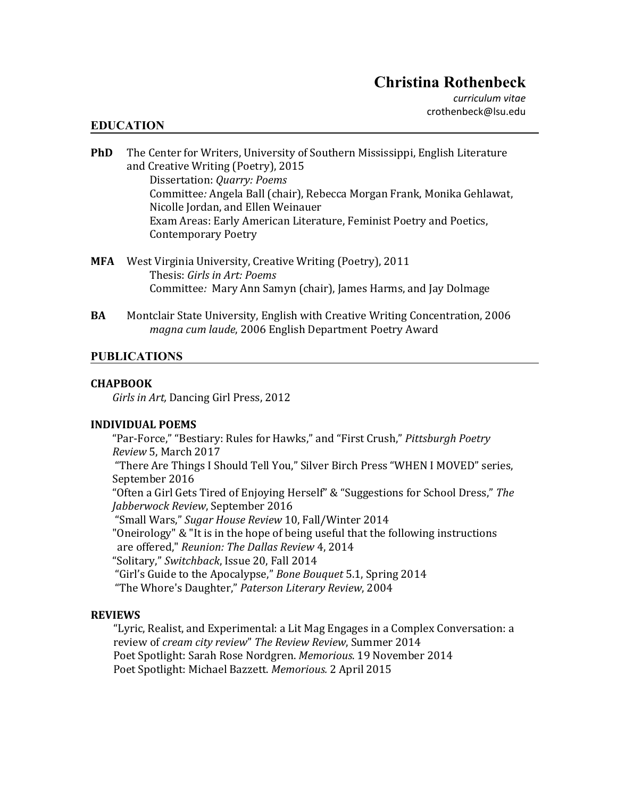*curriculum vitae* crothenbeck@lsu.edu

### **EDUCATION**

- **PhD** The Center for Writers, University of Southern Mississippi, English Literature and Creative Writing (Poetry), 2015 Dissertation: *Quarry: Poems* Committee*:* Angela Ball (chair), Rebecca Morgan Frank, Monika Gehlawat, Nicolle Jordan, and Ellen Weinauer Exam Areas: Early American Literature, Feminist Poetry and Poetics, Contemporary Poetry
- **MFA** West Virginia University, Creative Writing (Poetry), 2011 Thesis: *Girls in Art: Poems* Committee*:* Mary Ann Samyn (chair), James Harms, and Jay Dolmage
- **BA** Montclair State University, English with Creative Writing Concentration, 2006 *magna cum laude*, 2006 English Department Poetry Award

## **PUBLICATIONS**

#### **CHAPBOOK**

*Girls in Art,* Dancing Girl Press, 2012

### **INDIVIDUAL POEMS**

"Par-Force," "Bestiary: Rules for Hawks," and "First Crush," *Pittsburgh Poetry Review* 5, March 2017 "There Are Things I Should Tell You," Silver Birch Press "WHEN I MOVED" series, September 2016 "Often a Girl Gets Tired of Enjoying Herself" & "Suggestions for School Dress," *The Jabberwock Review*, September 2016 "Small Wars," *Sugar House Review* 10, Fall/Winter 2014 "Oneirology" & "It is in the hope of being useful that the following instructions are offered," *Reunion: The Dallas Review* 4, 2014 "Solitary," *Switchback*, Issue 20, Fall 2014 "Girl's Guide to the Apocalypse," *Bone Bouquet* 5.1, Spring 2014 "The Whore's Daughter," *Paterson Literary Review*, 2004

### **REVIEWS**

"Lyric, Realist, and Experimental: a Lit Mag Engages in a Complex Conversation: a review of *cream city review*" *The Review Review*, Summer 2014 Poet Spotlight: Sarah Rose Nordgren. *Memorious*. 19 November 2014 Poet Spotlight: Michael Bazzett. *Memorious.* 2 April 2015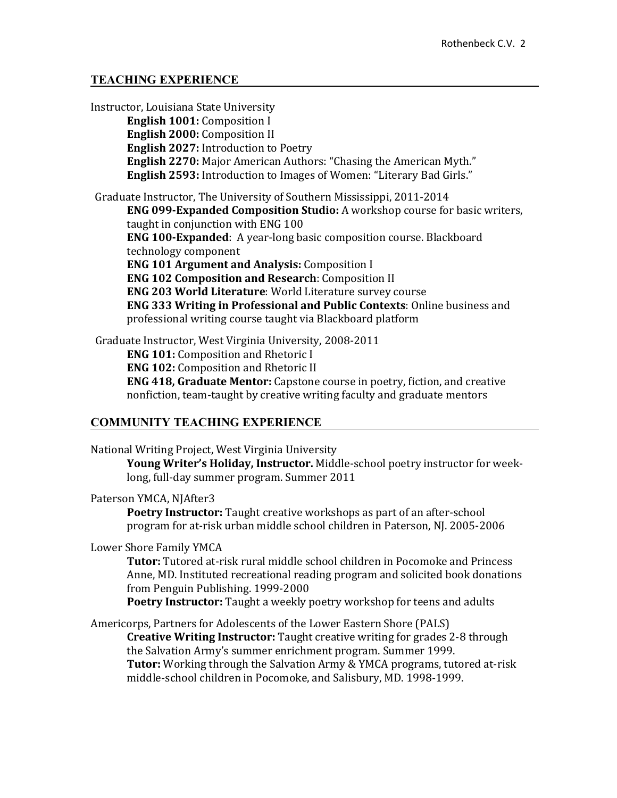## **TEACHING EXPERIENCE**

Instructor, Louisiana State University **English 1001:** Composition I **English 2000:** Composition II **English 2027:** Introduction to Poetry **English 2270:** Major American Authors: "Chasing the American Myth." **English 2593:** Introduction to Images of Women: "Literary Bad Girls." Graduate Instructor, The University of Southern Mississippi, 2011-2014 **ENG 099-Expanded Composition Studio:** A workshop course for basic writers, taught in conjunction with ENG 100 **ENG 100-Expanded**: A year-long basic composition course. Blackboard technology component **ENG 101 Argument and Analysis:** Composition I **ENG 102 Composition and Research**: Composition II **ENG 203 World Literature**: World Literature survey course **ENG 333 Writing in Professional and Public Contexts**: Online business and professional writing course taught via Blackboard platform

Graduate Instructor, West Virginia University, 2008-2011 **ENG 101:** Composition and Rhetoric I **ENG 102:** Composition and Rhetoric II

**ENG 418, Graduate Mentor:** Capstone course in poetry, fiction, and creative nonfiction, team-taught by creative writing faculty and graduate mentors

# **COMMUNITY TEACHING EXPERIENCE**

National Writing Project, West Virginia University **Young Writer's Holiday, Instructor.** Middle-school poetry instructor for weeklong, full-day summer program. Summer 2011

Paterson YMCA, NJAfter3

**Poetry Instructor:** Taught creative workshops as part of an after-school program for at-risk urban middle school children in Paterson, NJ. 2005-2006

Lower Shore Family YMCA

**Tutor:** Tutored at-risk rural middle school children in Pocomoke and Princess Anne, MD. Instituted recreational reading program and solicited book donations from Penguin Publishing. 1999-2000

**Poetry Instructor:** Taught a weekly poetry workshop for teens and adults

Americorps, Partners for Adolescents of the Lower Eastern Shore (PALS) **Creative Writing Instructor:** Taught creative writing for grades 2-8 through the Salvation Army's summer enrichment program. Summer 1999. **Tutor:** Working through the Salvation Army & YMCA programs, tutored at-risk middle-school children in Pocomoke, and Salisbury, MD. 1998-1999.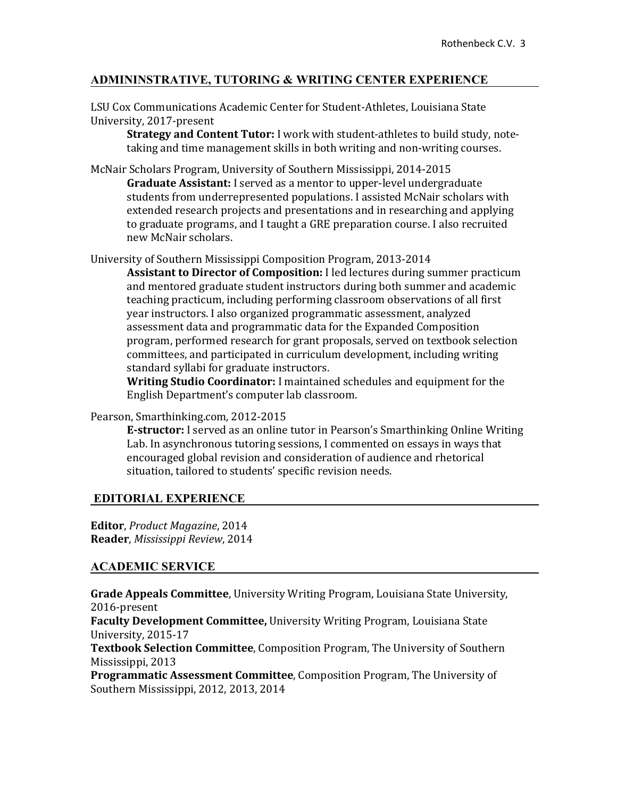# **ADMININSTRATIVE, TUTORING & WRITING CENTER EXPERIENCE**

LSU Cox Communications Academic Center for Student-Athletes, Louisiana State University, 2017-present

**Strategy and Content Tutor:** I work with student-athletes to build study, notetaking and time management skills in both writing and non-writing courses.

McNair Scholars Program, University of Southern Mississippi, 2014-2015 **Graduate Assistant:** I served as a mentor to upper-level undergraduate students from underrepresented populations. I assisted McNair scholars with extended research projects and presentations and in researching and applying to graduate programs, and I taught a GRE preparation course. I also recruited new McNair scholars.

University of Southern Mississippi Composition Program, 2013-2014

**Assistant to Director of Composition:** I led lectures during summer practicum and mentored graduate student instructors during both summer and academic teaching practicum, including performing classroom observations of all first year instructors. I also organized programmatic assessment, analyzed assessment data and programmatic data for the Expanded Composition program, performed research for grant proposals, served on textbook selection committees, and participated in curriculum development, including writing standard syllabi for graduate instructors.

**Writing Studio Coordinator:** I maintained schedules and equipment for the English Department's computer lab classroom.

Pearson, Smarthinking.com*,* 2012-2015

**E-structor:** I served as an online tutor in Pearson's Smarthinking Online Writing Lab. In asynchronous tutoring sessions, I commented on essays in ways that encouraged global revision and consideration of audience and rhetorical situation, tailored to students' specific revision needs.

### **EDITORIAL EXPERIENCE**

**Editor**, *Product Magazine*, 2014 **Reader**, *Mississippi Review*, 2014

### **ACADEMIC SERVICE**

**Grade Appeals Committee**, University Writing Program, Louisiana State University, 2016-present

**Faculty Development Committee,** University Writing Program, Louisiana State University, 2015-17

**Textbook Selection Committee**, Composition Program, The University of Southern Mississippi, 2013

**Programmatic Assessment Committee**, Composition Program, The University of Southern Mississippi, 2012, 2013, 2014